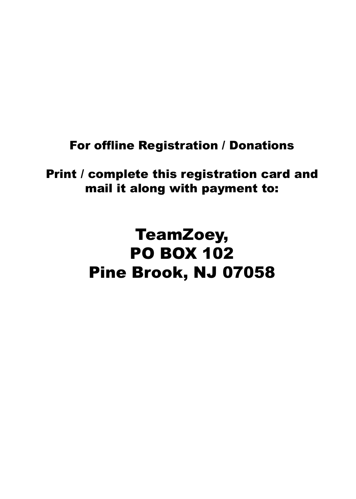#### For offline Registration / Donations

Print / complete this registration card and mail it along with payment to:

# TeamZoey, PO BOX 102 Pine Brook, NJ 07058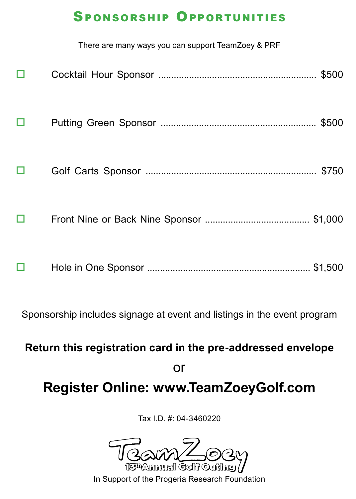#### Sponsorship Opportunities

|   | There are many ways you can support TeamZoey & PRF |  |  |  |
|---|----------------------------------------------------|--|--|--|
|   |                                                    |  |  |  |
|   |                                                    |  |  |  |
|   |                                                    |  |  |  |
| □ |                                                    |  |  |  |
|   |                                                    |  |  |  |
|   |                                                    |  |  |  |

Sponsorship includes signage at event and listings in the event program

**Return this registration card in the pre-addressed envelope** 

or

## **Register Online: www.TeamZoeyGolf.com**

Tax I.D. #: 04-3460220



In Support of the Progeria Research Foundation